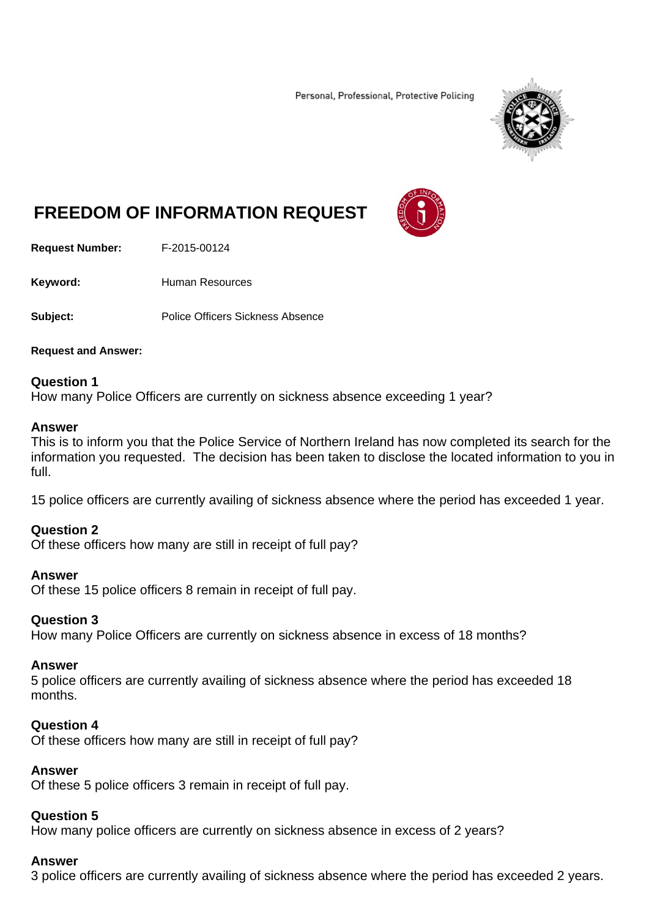Personal, Professional, Protective Policing



# **FREEDOM OF INFORMATION REQUEST**

**Request Number:** F-2015-00124

Keyword: **Human Resources** 

**Subject:** Police Officers Sickness Absence

#### **Request and Answer:**

# **Question 1**

How many Police Officers are currently on sickness absence exceeding 1 year?

#### **Answer**

This is to inform you that the Police Service of Northern Ireland has now completed its search for the information you requested. The decision has been taken to disclose the located information to you in full.

15 police officers are currently availing of sickness absence where the period has exceeded 1 year.

# **Question 2**

Of these officers how many are still in receipt of full pay?

# **Answer**

Of these 15 police officers 8 remain in receipt of full pay.

# **Question 3**

How many Police Officers are currently on sickness absence in excess of 18 months?

#### **Answer**

5 police officers are currently availing of sickness absence where the period has exceeded 18 months.

#### **Question 4**

Of these officers how many are still in receipt of full pay?

#### **Answer**

Of these 5 police officers 3 remain in receipt of full pay.

#### **Question 5**

How many police officers are currently on sickness absence in excess of 2 years?

#### **Answer**

3 police officers are currently availing of sickness absence where the period has exceeded 2 years.